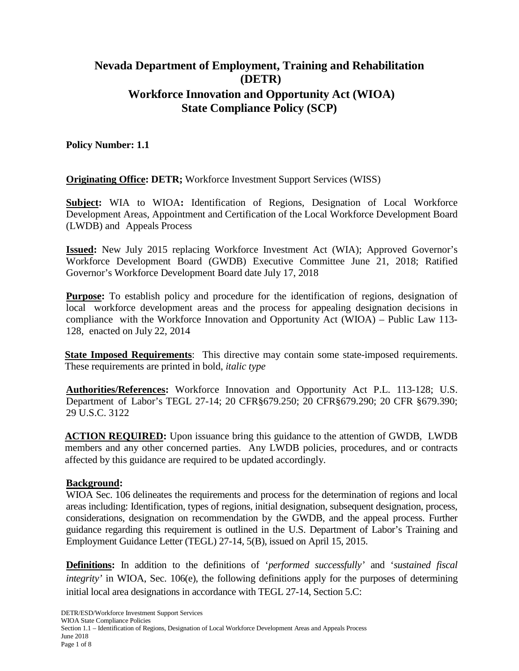# **Nevada Department of Employment, Training and Rehabilitation (DETR) Workforce Innovation and Opportunity Act (WIOA) State Compliance Policy (SCP)**

**Policy Number: 1.1**

**Originating Office: DETR;** Workforce Investment Support Services (WISS)

**Subject:** WIA to WIOA**:** Identification of Regions, Designation of Local Workforce Development Areas, Appointment and Certification of the Local Workforce Development Board (LWDB) and Appeals Process

**Issued:** New July 2015 replacing Workforce Investment Act (WIA); Approved Governor's Workforce Development Board (GWDB) Executive Committee June 21, 2018; Ratified Governor's Workforce Development Board date July 17, 2018

**Purpose:** To establish policy and procedure for the identification of regions, designation of local workforce development areas and the process for appealing designation decisions in compliance with the Workforce Innovation and Opportunity Act (WIOA) – Public Law 113- 128, enacted on July 22, 2014

**State Imposed Requirements**: This directive may contain some state-imposed requirements. These requirements are printed in bold, *italic type*

**Authorities/References:** Workforce Innovation and Opportunity Act P.L. 113-128; U.S. Department of Labor's TEGL 27-14; 20 CFR§679.250; 20 CFR§679.290; 20 CFR §679.390; 29 U.S.C. 3122

**ACTION REQUIRED:** Upon issuance bring this guidance to the attention of GWDB, LWDB members and any other concerned parties. Any LWDB policies, procedures, and or contracts affected by this guidance are required to be updated accordingly.

#### **Background:**

WIOA Sec. 106 delineates the requirements and process for the determination of regions and local areas including: Identification, types of regions, initial designation, subsequent designation, process, considerations, designation on recommendation by the GWDB, and the appeal process. Further guidance regarding this requirement is outlined in the U.S. Department of Labor's Training and Employment Guidance Letter (TEGL) 27-14, 5(B), issued on April 15, 2015.

**Definitions:** In addition to the definitions of '*performed successfully'* and '*sustained fiscal integrity'* in WIOA, Sec. 106(e), the following definitions apply for the purposes of determining initial local area designations in accordance with TEGL 27-14, Section 5.C: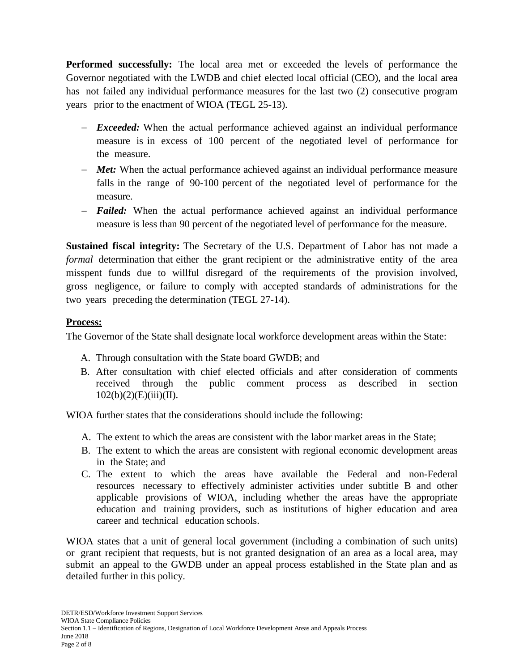**Performed successfully:** The local area met or exceeded the levels of performance the Governor negotiated with the LWDB and chief elected local official (CEO), and the local area has not failed any individual performance measures for the last two (2) consecutive program years prior to the enactment of WIOA (TEGL 25-13).

- − *Exceeded:* When the actual performance achieved against an individual performance measure is in excess of 100 percent of the negotiated level of performance for the measure.
- − *Met:* When the actual performance achieved against an individual performance measure falls in the range of 90-100 percent of the negotiated level of performance for the measure.
- − *Failed:* When the actual performance achieved against an individual performance measure is less than 90 percent of the negotiated level of performance for the measure.

**Sustained fiscal integrity:** The Secretary of the U.S. Department of Labor has not made a *formal* determination that either the grant recipient or the administrative entity of the area misspent funds due to willful disregard of the requirements of the provision involved, gross negligence, or failure to comply with accepted standards of administrations for the two years preceding the determination (TEGL 27-14).

#### **Process:**

The Governor of the State shall designate local workforce development areas within the State:

- A. Through consultation with the State board GWDB; and
- B. After consultation with chief elected officials and after consideration of comments received through the public comment process as described in section  $102(b)(2)(E)(iii)(II).$

WIOA further states that the considerations should include the following:

- A. The extent to which the areas are consistent with the labor market areas in the State;
- B. The extent to which the areas are consistent with regional economic development areas in the State; and
- C. The extent to which the areas have available the Federal and non-Federal resources necessary to effectively administer activities under subtitle B and other applicable provisions of WIOA, including whether the areas have the appropriate education and training providers, such as institutions of higher education and area career and technical education schools.

WIOA states that a unit of general local government (including a combination of such units) or grant recipient that requests, but is not granted designation of an area as a local area, may submit an appeal to the GWDB under an appeal process established in the State plan and as detailed further in this policy.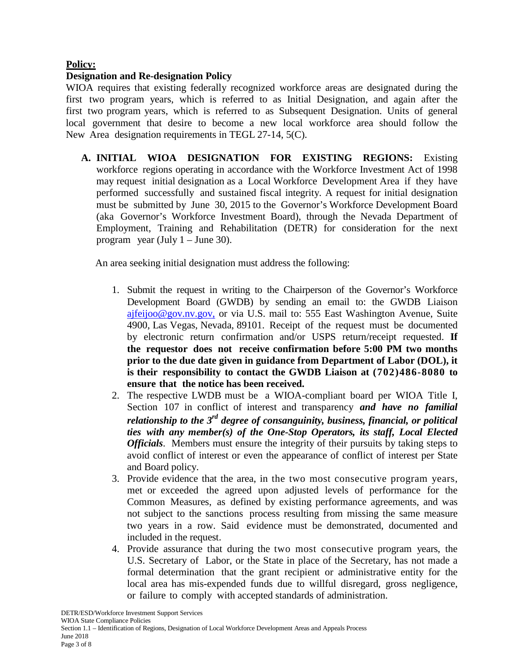### **Policy:**

## **Designation and Re-designation Policy**

WIOA requires that existing federally recognized workforce areas are designated during the first two program years, which is referred to as Initial Designation, and again after the first two program years, which is referred to as Subsequent Designation. Units of general local government that desire to become a new local workforce area should follow the New Area designation requirements in TEGL 27-14, 5(C).

**A. INITIAL WIOA DESIGNATION FOR EXISTING REGIONS:** Existing workforce regions operating in accordance with the Workforce Investment Act of 1998 may request initial designation as a Local Workforce Development Area if they have performed successfully and sustained fiscal integrity. A request for initial designation must be submitted by June 30, 2015 to the Governor's Workforce Development Board (aka Governor's Workforce Investment Board), through the Nevada Department of Employment, Training and Rehabilitation (DETR) for consideration for the next program year (July 1 – June 30).

An area seeking initial designation must address the following:

- 1. Submit the request in writing to the Chairperson of the Governor's Workforce Development Board (GWDB) by sending an email to: the GWDB Liaison [ajfeijoo@gov.nv.gov,](mailto:ajfeijoo@gov.nv.gov,) or via U.S. mail to: 555 East Washington Avenue, Suite 4900, Las Vegas, Nevada, 89101. Receipt of the request must be documented by electronic return confirmation and/or USPS return/receipt requested. **If the requestor does not receive confirmation before 5:00 PM two months prior to the due date given in guidance from Department of Labor (DOL), it is their responsibility to contact the GWDB Liaison at (702)486-8080 to ensure that the notice has been received.**
- 2. The respective LWDB must be a WIOA-compliant board per WIOA Title I, Section 107 in conflict of interest and transparency *and have no familial relationship to the 3rd degree of consanguinity, business, financial, or political ties with any member(s) of the One-Stop Operators, its staff, Local Elected Officials*. Members must ensure the integrity of their pursuits by taking steps to avoid conflict of interest or even the appearance of conflict of interest per State and Board policy.
- 3. Provide evidence that the area, in the two most consecutive program years, met or exceeded the agreed upon adjusted levels of performance for the Common Measures, as defined by existing performance agreements, and was not subject to the sanctions process resulting from missing the same measure two years in a row. Said evidence must be demonstrated, documented and included in the request.
- 4. Provide assurance that during the two most consecutive program years, the U.S. Secretary of Labor, or the State in place of the Secretary, has not made a formal determination that the grant recipient or administrative entity for the local area has mis-expended funds due to willful disregard, gross negligence, or failure to comply with accepted standards of administration.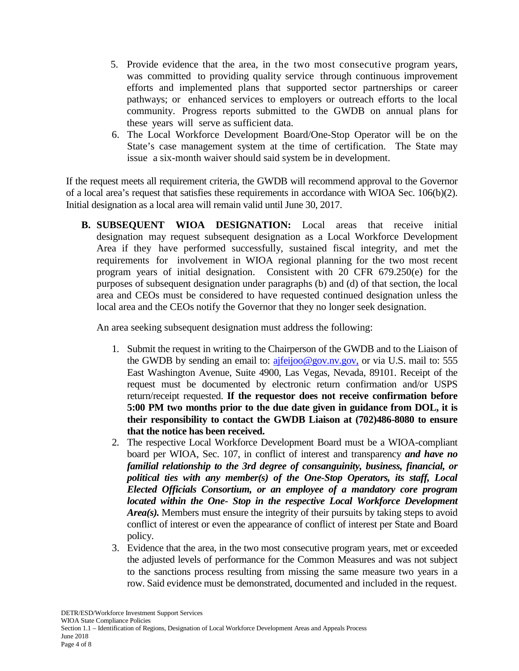- 5. Provide evidence that the area, in the two most consecutive program years, was committed to providing quality service through continuous improvement efforts and implemented plans that supported sector partnerships or career pathways; or enhanced services to employers or outreach efforts to the local community. Progress reports submitted to the GWDB on annual plans for these years will serve as sufficient data.
- 6. The Local Workforce Development Board/One-Stop Operator will be on the State's case management system at the time of certification. The State may issue a six-month waiver should said system be in development.

If the request meets all requirement criteria, the GWDB will recommend approval to the Governor of a local area's request that satisfies these requirements in accordance with WIOA Sec. 106(b)(2). Initial designation as a local area will remain valid until June 30, 2017.

**B. SUBSEQUENT WIOA DESIGNATION:** Local areas that receive initial designation may request subsequent designation as a Local Workforce Development Area if they have performed successfully, sustained fiscal integrity, and met the requirements for involvement in WIOA regional planning for the two most recent program years of initial designation. Consistent with 20 CFR 679.250(e) for the purposes of subsequent designation under paragraphs (b) and (d) of that section, the local area and CEOs must be considered to have requested continued designation unless the local area and the CEOs notify the Governor that they no longer seek designation.

An area seeking subsequent designation must address the following:

- 1. Submit the request in writing to the Chairperson of the GWDB and to the Liaison of the GWDB by sending an email to: [ajfeijoo@gov.nv.gov,](mailto:ajfeijoo@gov.nv.gov,) or via U.S. mail to: 555 East Washington Avenue, Suite 4900, Las Vegas, Nevada, 89101. Receipt of the request must be documented by electronic return confirmation and/or USPS return/receipt requested. **If the requestor does not receive confirmation before 5:00 PM two months prior to the due date given in guidance from DOL, it is their responsibility to contact the GWDB Liaison at (702)486-8080 to ensure that the notice has been received.**
- 2. The respective Local Workforce Development Board must be a WIOA-compliant board per WIOA, Sec. 107, in conflict of interest and transparency *and have no familial relationship to the 3rd degree of consanguinity, business, financial, or political ties with any member(s) of the One-Stop Operators, its staff, Local Elected Officials Consortium, or an employee of a mandatory core program located within the One- Stop in the respective Local Workforce Development Area(s).* Members must ensure the integrity of their pursuits by taking steps to avoid conflict of interest or even the appearance of conflict of interest per State and Board policy.
- 3. Evidence that the area, in the two most consecutive program years, met or exceeded the adjusted levels of performance for the Common Measures and was not subject to the sanctions process resulting from missing the same measure two years in a row. Said evidence must be demonstrated, documented and included in the request.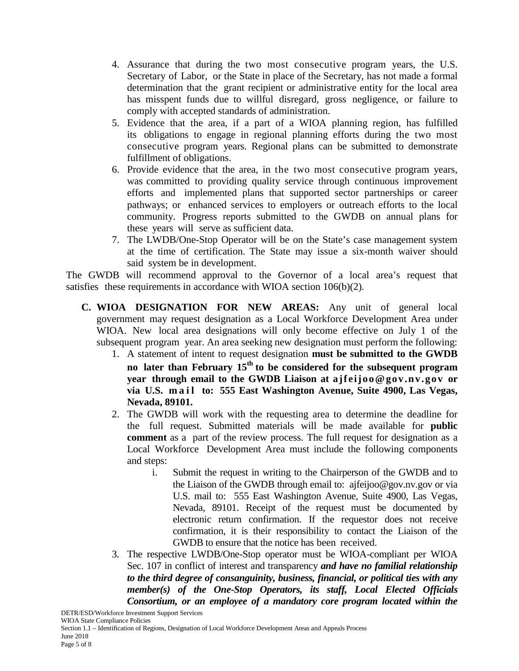- 4. Assurance that during the two most consecutive program years, the U.S. Secretary of Labor, or the State in place of the Secretary, has not made a formal determination that the grant recipient or administrative entity for the local area has misspent funds due to willful disregard, gross negligence, or failure to comply with accepted standards of administration.
- 5. Evidence that the area, if a part of a WIOA planning region, has fulfilled its obligations to engage in regional planning efforts during the two most consecutive program years. Regional plans can be submitted to demonstrate fulfillment of obligations.
- 6. Provide evidence that the area, in the two most consecutive program years, was committed to providing quality service through continuous improvement efforts and implemented plans that supported sector partnerships or career pathways; or enhanced services to employers or outreach efforts to the local community. Progress reports submitted to the GWDB on annual plans for these years will serve as sufficient data.
- 7. The LWDB/One-Stop Operator will be on the State's case management system at the time of certification. The State may issue a six-month waiver should said system be in development.

The GWDB will recommend approval to the Governor of a local area's request that satisfies these requirements in accordance with WIOA section 106(b)(2).

- **C. WIOA DESIGNATION FOR NEW AREAS:** Any unit of general local government may request designation as a Local Workforce Development Area under WIOA. New local area designations will only become effective on July 1 of the subsequent program year. An area seeking new designation must perform the following:
	- 1. A statement of intent to request designation **must be submitted to the GWDB no later than February 15th to be considered for the subsequent program year through email to the GWDB Liaison at ajfeijoo@gov.nv.gov or via U.S. mail to: 555 East Washington Avenue, Suite 4900, Las Vegas, Nevada, 89101.**
	- 2. The GWDB will work with the requesting area to determine the deadline for the full request. Submitted materials will be made available for **public comment** as a part of the review process. The full request for designation as a Local Workforce Development Area must include the following components and steps:
		- i. Submit the request in writing to the Chairperson of the GWDB and to the Liaison of the GWDB through email to: ajfeijoo@gov.nv.gov or via U.S. mail to: 555 East Washington Avenue, Suite 4900, Las Vegas, Nevada, 89101. Receipt of the request must be documented by electronic return confirmation. If the requestor does not receive confirmation, it is their responsibility to contact the Liaison of the GWDB to ensure that the notice has been received.
	- 3. The respective LWDB/One-Stop operator must be WIOA-compliant per WIOA Sec. 107 in conflict of interest and transparency *and have no familial relationship to the third degree of consanguinity, business, financial, or political ties with any member(s) of the One-Stop Operators, its staff, Local Elected Officials Consortium, or an employee of a mandatory core program located within the*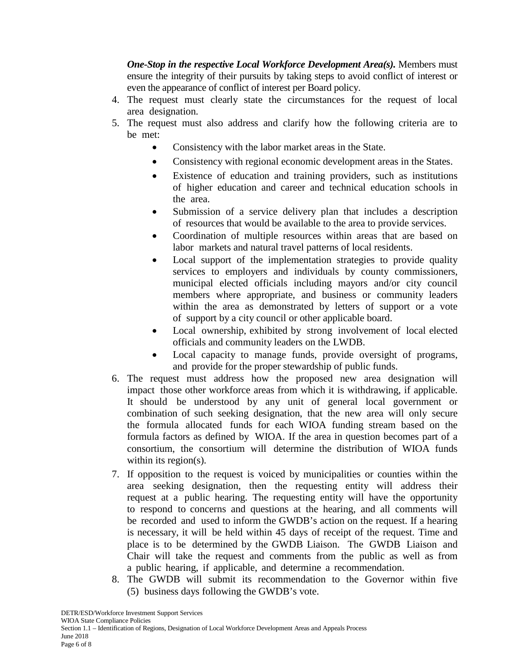*One-Stop in the respective Local Workforce Development Area(s).* Members must ensure the integrity of their pursuits by taking steps to avoid conflict of interest or even the appearance of conflict of interest per Board policy.

- 4. The request must clearly state the circumstances for the request of local area designation.
- 5. The request must also address and clarify how the following criteria are to be met:
	- Consistency with the labor market areas in the State.
	- Consistency with regional economic development areas in the States.
	- Existence of education and training providers, such as institutions of higher education and career and technical education schools in the area.
	- Submission of a service delivery plan that includes a description of resources that would be available to the area to provide services.
	- Coordination of multiple resources within areas that are based on labor markets and natural travel patterns of local residents.
	- Local support of the implementation strategies to provide quality services to employers and individuals by county commissioners, municipal elected officials including mayors and/or city council members where appropriate, and business or community leaders within the area as demonstrated by letters of support or a vote of support by a city council or other applicable board.
	- Local ownership, exhibited by strong involvement of local elected officials and community leaders on the LWDB.
	- Local capacity to manage funds, provide oversight of programs, and provide for the proper stewardship of public funds.
- 6. The request must address how the proposed new area designation will impact those other workforce areas from which it is withdrawing, if applicable. It should be understood by any unit of general local government or combination of such seeking designation, that the new area will only secure the formula allocated funds for each WIOA funding stream based on the formula factors as defined by WIOA. If the area in question becomes part of a consortium, the consortium will determine the distribution of WIOA funds within its region(s).
- 7. If opposition to the request is voiced by municipalities or counties within the area seeking designation, then the requesting entity will address their request at a public hearing. The requesting entity will have the opportunity to respond to concerns and questions at the hearing, and all comments will be recorded and used to inform the GWDB's action on the request. If a hearing is necessary, it will be held within 45 days of receipt of the request. Time and place is to be determined by the GWDB Liaison. The GWDB Liaison and Chair will take the request and comments from the public as well as from a public hearing, if applicable, and determine a recommendation.
- 8. The GWDB will submit its recommendation to the Governor within five (5) business days following the GWDB's vote.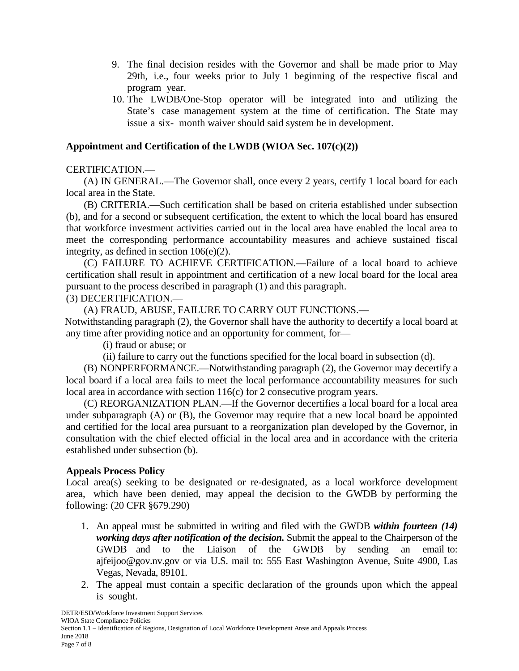- 9. The final decision resides with the Governor and shall be made prior to May 29th, i.e., four weeks prior to July 1 beginning of the respective fiscal and program year.
- 10. The LWDB/One-Stop operator will be integrated into and utilizing the State's case management system at the time of certification. The State may issue a six- month waiver should said system be in development.

## **Appointment and Certification of the LWDB (WIOA Sec. 107(c)(2))**

# CERTIFICATION.—

(A) IN GENERAL.—The Governor shall, once every 2 years, certify 1 local board for each local area in the State.

(B) CRITERIA.—Such certification shall be based on criteria established under subsection (b), and for a second or subsequent certification, the extent to which the local board has ensured that workforce investment activities carried out in the local area have enabled the local area to meet the corresponding performance accountability measures and achieve sustained fiscal integrity, as defined in section 106(e)(2).

(C) FAILURE TO ACHIEVE CERTIFICATION.—Failure of a local board to achieve certification shall result in appointment and certification of a new local board for the local area pursuant to the process described in paragraph (1) and this paragraph.

## (3) DECERTIFICATION.—

(A) FRAUD, ABUSE, FAILURE TO CARRY OUT FUNCTIONS.— Notwithstanding paragraph (2), the Governor shall have the authority to decertify a local board at any time after providing notice and an opportunity for comment, for—

(i) fraud or abuse; or

(ii) failure to carry out the functions specified for the local board in subsection (d).

(B) NONPERFORMANCE.—Notwithstanding paragraph (2), the Governor may decertify a local board if a local area fails to meet the local performance accountability measures for such local area in accordance with section 116(c) for 2 consecutive program years.

(C) REORGANIZATION PLAN.—If the Governor decertifies a local board for a local area under subparagraph (A) or (B), the Governor may require that a new local board be appointed and certified for the local area pursuant to a reorganization plan developed by the Governor, in consultation with the chief elected official in the local area and in accordance with the criteria established under subsection (b).

# **Appeals Process Policy**

Local area(s) seeking to be designated or re-designated, as a local workforce development area, which have been denied, may appeal the decision to the GWDB by performing the following: (20 CFR §679.290)

- 1. An appeal must be submitted in writing and filed with the GWDB *within fourteen (14) working days after notification of the decision.* Submit the appeal to the Chairperson of the GWDB and to the Liaison of the GWDB by sending an email to: ajfeijoo@gov.nv.gov or via U.S. mail to: 555 East Washington Avenue, Suite 4900, Las Vegas, Nevada, 89101.
- 2. The appeal must contain a specific declaration of the grounds upon which the appeal is sought.